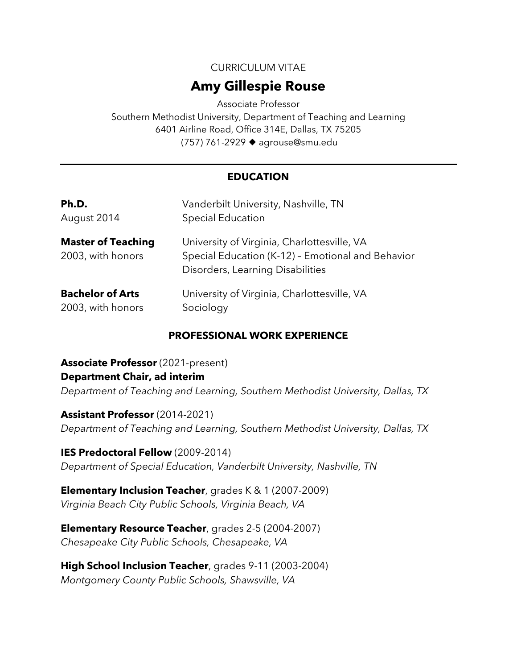CURRICULUM VITAE

# **Amy Gillespie Rouse**

Associate Professor Southern Methodist University, Department of Teaching and Learning 6401 Airline Road, Office 314E, Dallas, TX 75205 (757) 761-2929 → agrouse@smu.edu

## **EDUCATION**

| Ph.D.                                          | Vanderbilt University, Nashville, TN                                                                                                 |
|------------------------------------------------|--------------------------------------------------------------------------------------------------------------------------------------|
| August 2014                                    | <b>Special Education</b>                                                                                                             |
| <b>Master of Teaching</b><br>2003, with honors | University of Virginia, Charlottesville, VA<br>Special Education (K-12) - Emotional and Behavior<br>Disorders, Learning Disabilities |
| <b>Bachelor of Arts</b>                        | University of Virginia, Charlottesville, VA                                                                                          |
| 2003, with honors                              | Sociology                                                                                                                            |

### **PROFESSIONAL WORK EXPERIENCE**

**Associate Professor** (2021-present) **Department Chair, ad interim** *Department of Teaching and Learning, Southern Methodist University, Dallas, TX*

**Assistant Professor** (2014-2021) *Department of Teaching and Learning, Southern Methodist University, Dallas, TX*

**IES Predoctoral Fellow** (2009-2014) *Department of Special Education, Vanderbilt University, Nashville, TN*

**Elementary Inclusion Teacher**, grades K & 1 (2007-2009) *Virginia Beach City Public Schools, Virginia Beach, VA*

**Elementary Resource Teacher**, grades 2-5 (2004-2007) *Chesapeake City Public Schools, Chesapeake, VA*

**High School Inclusion Teacher**, grades 9-11 (2003-2004) *Montgomery County Public Schools, Shawsville, VA*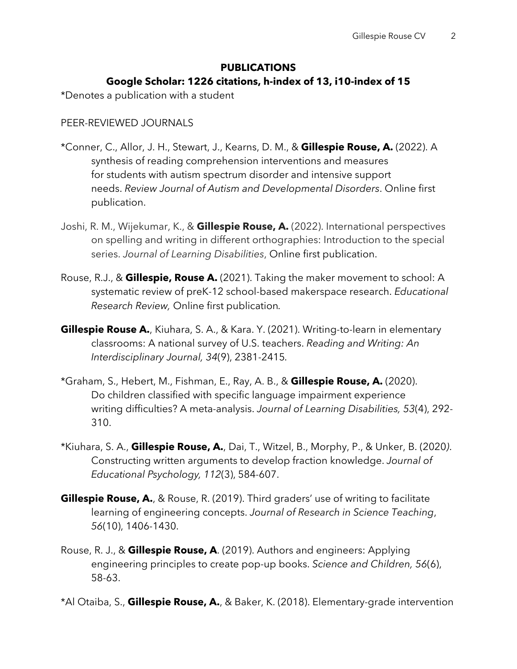# **PUBLICATIONS Google Scholar: 1226 citations, h-index of 13, i10-index of 15**

\*Denotes a publication with a student

### PEER-REVIEWED JOURNALS

- \*Conner, C., Allor, J. H., Stewart, J., Kearns, D. M., & **Gillespie Rouse, A.** (2022). A synthesis of reading comprehension interventions and measures for students with autism spectrum disorder and intensive support needs. *Review Journal of Autism and Developmental Disorders*. Online first publication.
- Joshi, R. M., Wijekumar, K., & **Gillespie Rouse, A.** (2022). International perspectives on spelling and writing in different orthographies: Introduction to the special series. *Journal of Learning Disabilities*, Online first publication.
- Rouse, R.J., & **Gillespie, Rouse A.** (2021). Taking the maker movement to school: A systematic review of preK-12 school-based makerspace research. *Educational Research Review,* Online first publication*.*
- **Gillespie Rouse A.**, Kiuhara, S. A., & Kara. Y. (2021). Writing-to-learn in elementary classrooms: A national survey of U.S. teachers. *Reading and Writing: An Interdisciplinary Journal, 34*(9), 2381-2415*.*
- \*Graham, S., Hebert, M., Fishman, E., Ray, A. B., & **Gillespie Rouse, A.** (2020). Do children classified with specific language impairment experience writing difficulties? A meta-analysis. *Journal of Learning Disabilities, 53*(4), 292- 310.
- \*Kiuhara, S. A., **Gillespie Rouse, A.**, Dai, T., Witzel, B., Morphy, P., & Unker, B. (2020*)*. Constructing written arguments to develop fraction knowledge. *Journal of Educational Psychology, 112*(3), 584-607.
- **Gillespie Rouse, A.**, & Rouse, R. (2019). Third graders' use of writing to facilitate learning of engineering concepts. *Journal of Research in Science Teaching*, *56*(10), 1406-1430.
- Rouse, R. J., & **Gillespie Rouse, A**. (2019). Authors and engineers: Applying engineering principles to create pop-up books. *Science and Children, 56*(6), 58-63.
- \*Al Otaiba, S., **Gillespie Rouse, A.**, & Baker, K. (2018). Elementary-grade intervention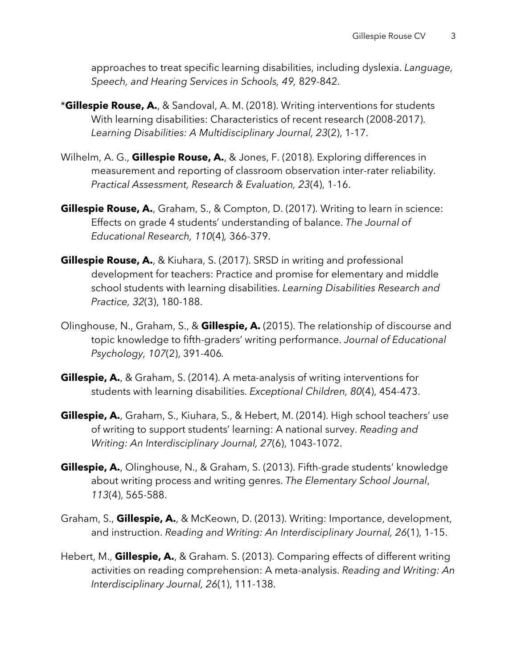approaches to treat specific learning disabilities, including dyslexia. *Language, Speech, and Hearing Services in Schools, 49,* 829-842.

- \***Gillespie Rouse, A.**, & Sandoval, A. M. (2018). Writing interventions for students With learning disabilities: Characteristics of recent research (2008-2017). *Learning Disabilities: A Multidisciplinary Journal, 23*(2), 1-17.
- Wilhelm, A. G., **Gillespie Rouse, A.**, & Jones, F. (2018). Exploring differences in measurement and reporting of classroom observation inter-rater reliability. *Practical Assessment, Research & Evaluation, 23*(4), 1-16.
- **Gillespie Rouse, A.**, Graham, S., & Compton, D. (2017). Writing to learn in science: Effects on grade 4 students' understanding of balance. *The Journal of Educational Research, 110*(4)*,* 366-379.
- **Gillespie Rouse, A.**, & Kiuhara, S. (2017). SRSD in writing and professional development for teachers: Practice and promise for elementary and middle school students with learning disabilities. *Learning Disabilities Research and Practice, 32*(3), 180-188.
- Olinghouse, N., Graham, S., & **Gillespie, A.** (2015). The relationship of discourse and topic knowledge to fifth-graders' writing performance. *Journal of Educational Psychology, 107*(2), 391-406*.*
- **Gillespie, A.**, & Graham, S. (2014). A meta-analysis of writing interventions for students with learning disabilities. *Exceptional Children, 80*(4), 454-473.
- **Gillespie, A.**, Graham, S., Kiuhara, S., & Hebert, M. (2014). High school teachers' use of writing to support students' learning: A national survey. *Reading and Writing: An Interdisciplinary Journal, 27*(6), 1043-1072.
- **Gillespie, A.**, Olinghouse, N., & Graham, S. (2013). Fifth-grade students' knowledge about writing process and writing genres. *The Elementary School Journal*, *113*(4), 565-588.
- Graham, S., **Gillespie, A.**, & McKeown, D. (2013). Writing: Importance, development, and instruction. *Reading and Writing: An Interdisciplinary Journal, 26*(1), 1-15.
- Hebert, M., **Gillespie, A.**, & Graham. S. (2013). Comparing effects of different writing activities on reading comprehension: A meta-analysis. *Reading and Writing: An Interdisciplinary Journal, 26*(1), 111-138.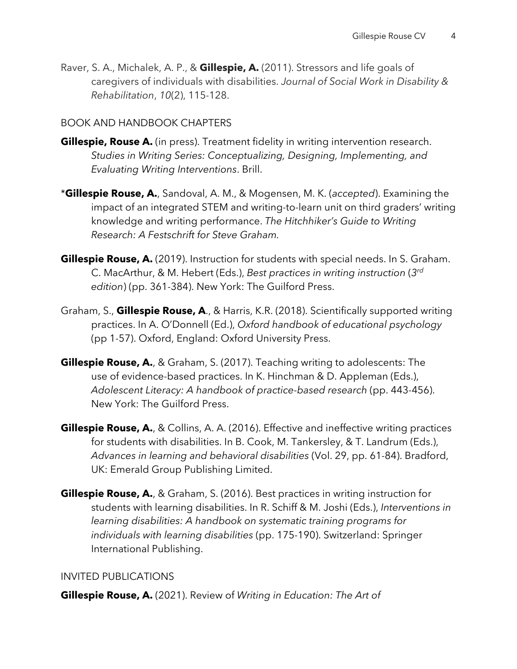Raver, S. A., Michalek, A. P., & **Gillespie, A.** (2011). Stressors and life goals of caregivers of individuals with disabilities. *Journal of Social Work in Disability & Rehabilitation*, *10*(2), 115-128.

# BOOK AND HANDBOOK CHAPTERS

- **Gillespie, Rouse A.** (in press). Treatment fidelity in writing intervention research. *Studies in Writing Series: Conceptualizing, Designing, Implementing, and Evaluating Writing Interventions*. Brill.
- \***Gillespie Rouse, A.**, Sandoval, A. M., & Mogensen, M. K. (*accepted*). Examining the impact of an integrated STEM and writing-to-learn unit on third graders' writing knowledge and writing performance. *The Hitchhiker's Guide to Writing Research: A Festschrift for Steve Graham.*
- **Gillespie Rouse, A.** (2019). Instruction for students with special needs. In S. Graham. C. MacArthur, & M. Hebert (Eds.), *Best practices in writing instruction* (*3rd edition*) (pp. 361-384). New York: The Guilford Press.
- Graham, S., **Gillespie Rouse, A**., & Harris, K.R. (2018). Scientifically supported writing practices. In A. O'Donnell (Ed.), *Oxford handbook of educational psychology* (pp 1-57). Oxford, England: Oxford University Press.
- **Gillespie Rouse, A.**, & Graham, S. (2017). Teaching writing to adolescents: The use of evidence-based practices. In K. Hinchman & D. Appleman (Eds.), *Adolescent Literacy: A handbook of practice-based research* (pp. 443-456). New York: The Guilford Press.
- **Gillespie Rouse, A.**, & Collins, A. A. (2016). Effective and ineffective writing practices for students with disabilities. In B. Cook, M. Tankersley, & T. Landrum (Eds.), *Advances in learning and behavioral disabilities* (Vol. 29, pp. 61-84). Bradford, UK: Emerald Group Publishing Limited.
- **Gillespie Rouse, A.**, & Graham, S. (2016). Best practices in writing instruction for students with learning disabilities. In R. Schiff & M. Joshi (Eds.), *Interventions in learning disabilities: A handbook on systematic training programs for individuals with learning disabilities* (pp. 175-190). Switzerland: Springer International Publishing.

### INVITED PUBLICATIONS

**Gillespie Rouse, A.** (2021). Review of *Writing in Education: The Art of*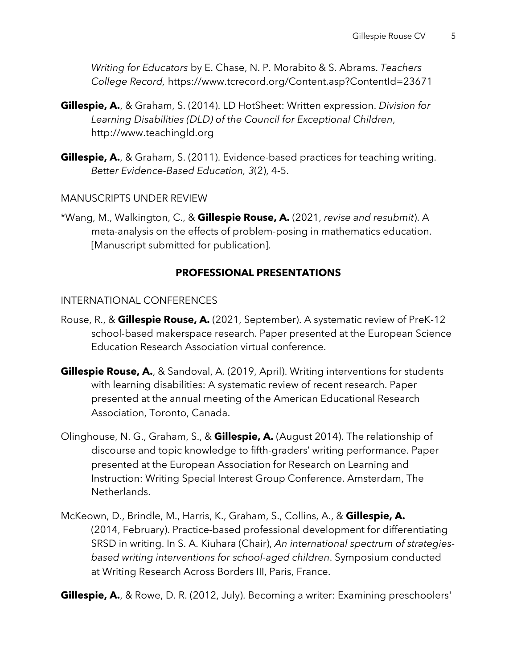*Writing for Educators* by E. Chase, N. P. Morabito & S. Abrams. *Teachers College Record,* https://www.tcrecord.org/Content.asp?ContentId=23671

- **Gillespie, A.**, & Graham, S. (2014). LD HotSheet: Written expression. *Division for Learning Disabilities (DLD) of the Council for Exceptional Children*, http://www.teachingld.org
- **Gillespie, A.**, & Graham, S. (2011). Evidence-based practices for teaching writing. *Better Evidence-Based Education, 3*(2), 4-5.

MANUSCRIPTS UNDER REVIEW

\*Wang, M., Walkington, C., & **Gillespie Rouse, A.** (2021, *revise and resubmit*). A meta-analysis on the effects of problem-posing in mathematics education. [Manuscript submitted for publication].

#### **PROFESSIONAL PRESENTATIONS**

#### INTERNATIONAL CONFERENCES

- Rouse, R., & **Gillespie Rouse, A.** (2021, September). A systematic review of PreK-12 school-based makerspace research. Paper presented at the European Science Education Research Association virtual conference.
- **Gillespie Rouse, A.**, & Sandoval, A. (2019, April). Writing interventions for students with learning disabilities: A systematic review of recent research. Paper presented at the annual meeting of the American Educational Research Association, Toronto, Canada.
- Olinghouse, N. G., Graham, S., & **Gillespie, A.** (August 2014). The relationship of discourse and topic knowledge to fifth-graders' writing performance. Paper presented at the European Association for Research on Learning and Instruction: Writing Special Interest Group Conference. Amsterdam, The Netherlands.
- McKeown, D., Brindle, M., Harris, K., Graham, S., Collins, A., & **Gillespie, A.** (2014, February). Practice-based professional development for differentiating SRSD in writing. In S. A. Kiuhara (Chair), *An international spectrum of strategiesbased writing interventions for school-aged children*. Symposium conducted at Writing Research Across Borders III, Paris, France.

**Gillespie, A.**, & Rowe, D. R. (2012, July). Becoming a writer: Examining preschoolers'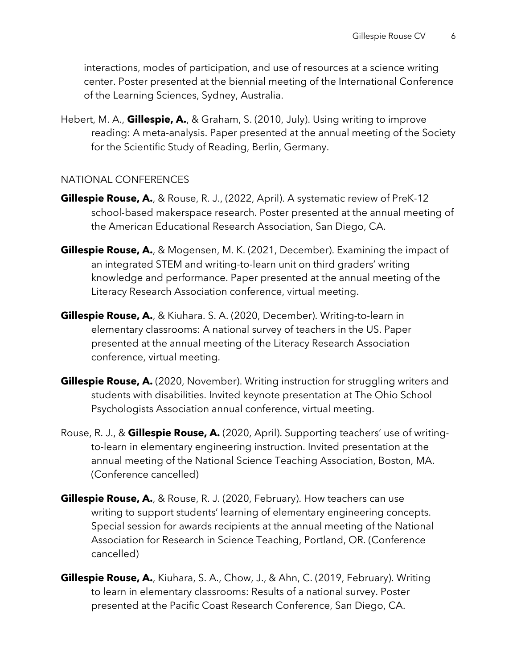interactions, modes of participation, and use of resources at a science writing center. Poster presented at the biennial meeting of the International Conference of the Learning Sciences, Sydney, Australia.

Hebert, M. A., **Gillespie, A.**, & Graham, S. (2010, July). Using writing to improve reading: A meta-analysis. Paper presented at the annual meeting of the Society for the Scientific Study of Reading, Berlin, Germany.

### NATIONAL CONFERENCES

- **Gillespie Rouse, A.**, & Rouse, R. J., (2022, April). A systematic review of PreK-12 school-based makerspace research. Poster presented at the annual meeting of the American Educational Research Association, San Diego, CA.
- **Gillespie Rouse, A.**, & Mogensen, M. K. (2021, December). Examining the impact of an integrated STEM and writing-to-learn unit on third graders' writing knowledge and performance. Paper presented at the annual meeting of the Literacy Research Association conference, virtual meeting.
- **Gillespie Rouse, A.**, & Kiuhara. S. A. (2020, December). Writing-to-learn in elementary classrooms: A national survey of teachers in the US. Paper presented at the annual meeting of the Literacy Research Association conference, virtual meeting.
- **Gillespie Rouse, A.** (2020, November). Writing instruction for struggling writers and students with disabilities. Invited keynote presentation at The Ohio School Psychologists Association annual conference, virtual meeting.
- Rouse, R. J., & **Gillespie Rouse, A.** (2020, April). Supporting teachers' use of writingto-learn in elementary engineering instruction. Invited presentation at the annual meeting of the National Science Teaching Association, Boston, MA. (Conference cancelled)
- **Gillespie Rouse, A.**, & Rouse, R. J. (2020, February). How teachers can use writing to support students' learning of elementary engineering concepts. Special session for awards recipients at the annual meeting of the National Association for Research in Science Teaching, Portland, OR. (Conference cancelled)
- **Gillespie Rouse, A.**, Kiuhara, S. A., Chow, J., & Ahn, C. (2019, February). Writing to learn in elementary classrooms: Results of a national survey. Poster presented at the Pacific Coast Research Conference, San Diego, CA.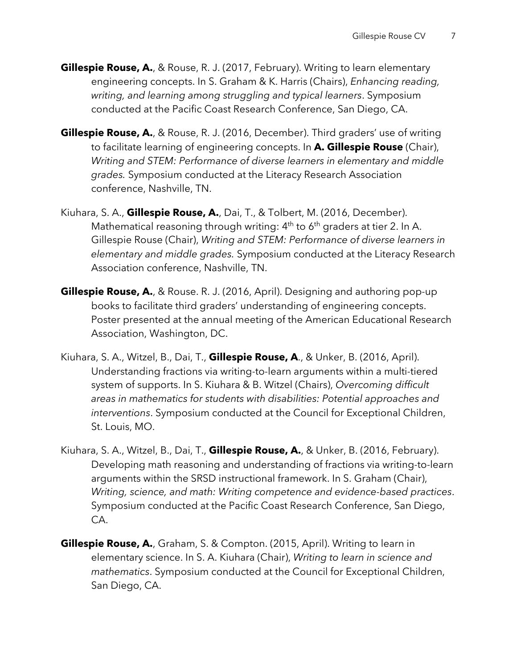- **Gillespie Rouse, A.**, & Rouse, R. J. (2017, February). Writing to learn elementary engineering concepts. In S. Graham & K. Harris (Chairs), *Enhancing reading, writing, and learning among struggling and typical learners*. Symposium conducted at the Pacific Coast Research Conference, San Diego, CA.
- **Gillespie Rouse, A.**, & Rouse, R. J. (2016, December). Third graders' use of writing to facilitate learning of engineering concepts. In **A. Gillespie Rouse** (Chair), *Writing and STEM: Performance of diverse learners in elementary and middle grades.* Symposium conducted at the Literacy Research Association conference, Nashville, TN.
- Kiuhara, S. A., **Gillespie Rouse, A.**, Dai, T., & Tolbert, M. (2016, December). Mathematical reasoning through writing:  $4<sup>th</sup>$  to  $6<sup>th</sup>$  graders at tier 2. In A. Gillespie Rouse (Chair), *Writing and STEM: Performance of diverse learners in elementary and middle grades.* Symposium conducted at the Literacy Research Association conference, Nashville, TN.
- **Gillespie Rouse, A.**, & Rouse. R. J. (2016, April). Designing and authoring pop-up books to facilitate third graders' understanding of engineering concepts. Poster presented at the annual meeting of the American Educational Research Association, Washington, DC.
- Kiuhara, S. A., Witzel, B., Dai, T., **Gillespie Rouse, A**., & Unker, B. (2016, April). Understanding fractions via writing-to-learn arguments within a multi-tiered system of supports. In S. Kiuhara & B. Witzel (Chairs), *Overcoming difficult areas in mathematics for students with disabilities: Potential approaches and interventions*. Symposium conducted at the Council for Exceptional Children, St. Louis, MO.
- Kiuhara, S. A., Witzel, B., Dai, T., **Gillespie Rouse, A.**, & Unker, B. (2016, February). Developing math reasoning and understanding of fractions via writing-to-learn arguments within the SRSD instructional framework. In S. Graham (Chair), *Writing, science, and math: Writing competence and evidence-based practices*. Symposium conducted at the Pacific Coast Research Conference, San Diego, CA.
- **Gillespie Rouse, A.**, Graham, S. & Compton. (2015, April). Writing to learn in elementary science. In S. A. Kiuhara (Chair), *Writing to learn in science and mathematics*. Symposium conducted at the Council for Exceptional Children, San Diego, CA.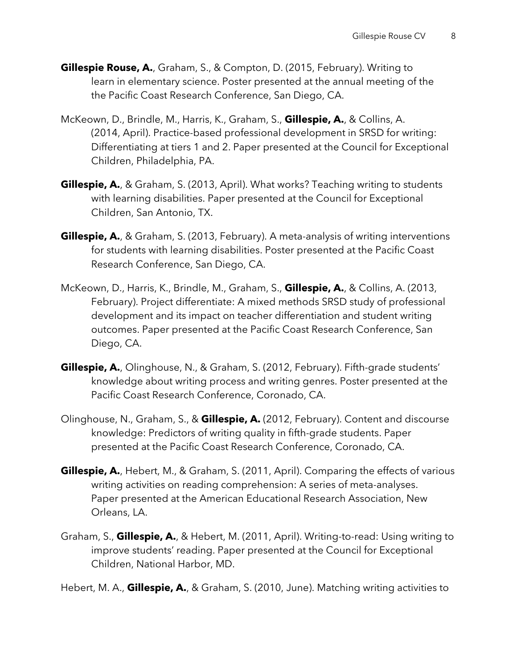- **Gillespie Rouse, A.**, Graham, S., & Compton, D. (2015, February). Writing to learn in elementary science. Poster presented at the annual meeting of the the Pacific Coast Research Conference, San Diego, CA.
- McKeown, D., Brindle, M., Harris, K., Graham, S., **Gillespie, A.**, & Collins, A. (2014, April). Practice-based professional development in SRSD for writing: Differentiating at tiers 1 and 2. Paper presented at the Council for Exceptional Children, Philadelphia, PA.
- **Gillespie, A.**, & Graham, S. (2013, April). What works? Teaching writing to students with learning disabilities. Paper presented at the Council for Exceptional Children, San Antonio, TX.
- **Gillespie, A.**, & Graham, S. (2013, February). A meta-analysis of writing interventions for students with learning disabilities. Poster presented at the Pacific Coast Research Conference, San Diego, CA.
- McKeown, D., Harris, K., Brindle, M., Graham, S., **Gillespie, A.**, & Collins, A. (2013, February). Project differentiate: A mixed methods SRSD study of professional development and its impact on teacher differentiation and student writing outcomes. Paper presented at the Pacific Coast Research Conference, San Diego, CA.
- **Gillespie, A.**, Olinghouse, N., & Graham, S. (2012, February). Fifth-grade students' knowledge about writing process and writing genres. Poster presented at the Pacific Coast Research Conference, Coronado, CA.
- Olinghouse, N., Graham, S., & **Gillespie, A.** (2012, February). Content and discourse knowledge: Predictors of writing quality in fifth-grade students. Paper presented at the Pacific Coast Research Conference, Coronado, CA.
- **Gillespie, A.**, Hebert, M., & Graham, S. (2011, April). Comparing the effects of various writing activities on reading comprehension: A series of meta-analyses. Paper presented at the American Educational Research Association, New Orleans, LA.
- Graham, S., **Gillespie, A.**, & Hebert, M. (2011, April). Writing-to-read: Using writing to improve students' reading. Paper presented at the Council for Exceptional Children, National Harbor, MD.

Hebert, M. A., **Gillespie, A.**, & Graham, S. (2010, June). Matching writing activities to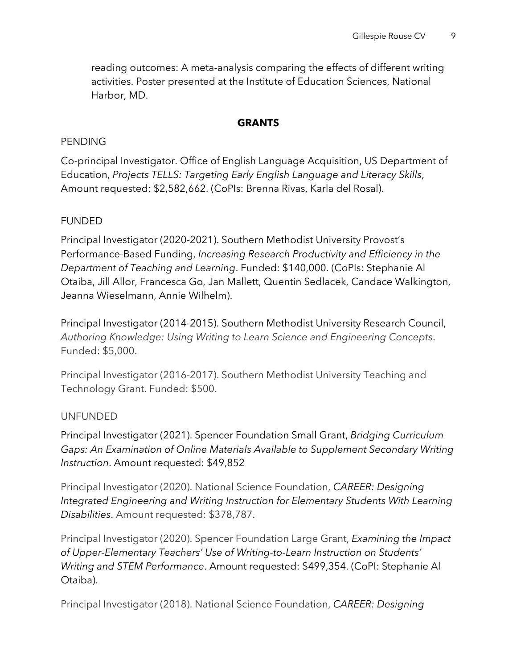reading outcomes: A meta-analysis comparing the effects of different writing activities. Poster presented at the Institute of Education Sciences, National Harbor, MD.

### **GRANTS**

### PENDING

Co-principal Investigator. Office of English Language Acquisition, US Department of Education, *Projects TELLS: Targeting Early English Language and Literacy Skills*, Amount requested: \$2,582,662. (CoPIs: Brenna Rivas, Karla del Rosal).

### FUNDED

Principal Investigator (2020-2021). Southern Methodist University Provost's Performance-Based Funding, *Increasing Research Productivity and Efficiency in the Department of Teaching and Learning*. Funded: \$140,000. (CoPIs: Stephanie Al Otaiba, Jill Allor, Francesca Go, Jan Mallett, Quentin Sedlacek, Candace Walkington, Jeanna Wieselmann, Annie Wilhelm).

Principal Investigator (2014-2015). Southern Methodist University Research Council, *Authoring Knowledge: Using Writing to Learn Science and Engineering Concepts*. Funded: \$5,000.

Principal Investigator (2016-2017). Southern Methodist University Teaching and Technology Grant. Funded: \$500.

### UNFUNDED

Principal Investigator (2021). Spencer Foundation Small Grant, *Bridging Curriculum Gaps: An Examination of Online Materials Available to Supplement Secondary Writing Instruction*. Amount requested: \$49,852

Principal Investigator (2020). National Science Foundation, *CAREER: Designing Integrated Engineering and Writing Instruction for Elementary Students With Learning Disabilities*. Amount requested: \$378,787.

Principal Investigator (2020). Spencer Foundation Large Grant, *Examining the Impact of Upper-Elementary Teachers' Use of Writing-to-Learn Instruction on Students' Writing and STEM Performance*. Amount requested: \$499,354. (CoPI: Stephanie Al Otaiba).

Principal Investigator (2018). National Science Foundation, *CAREER: Designing*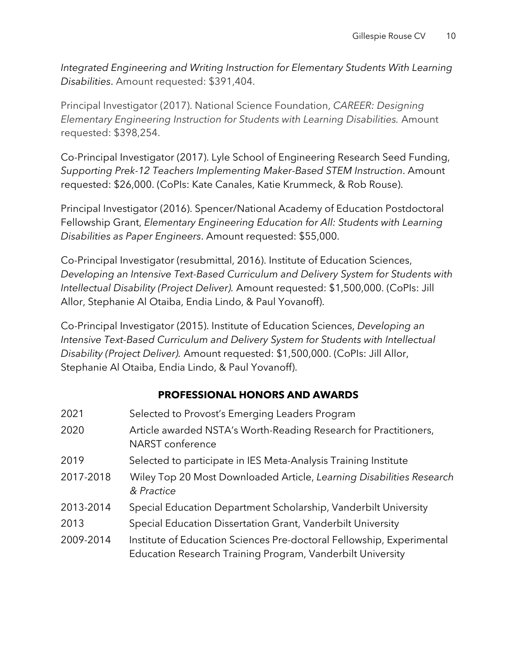*Integrated Engineering and Writing Instruction for Elementary Students With Learning Disabilities*. Amount requested: \$391,404.

Principal Investigator (2017). National Science Foundation, *CAREER: Designing Elementary Engineering Instruction for Students with Learning Disabilities.* Amount requested: \$398,254.

Co-Principal Investigator (2017). Lyle School of Engineering Research Seed Funding, *Supporting Prek-12 Teachers Implementing Maker-Based STEM Instruction*. Amount requested: \$26,000. (CoPIs: Kate Canales, Katie Krummeck, & Rob Rouse).

Principal Investigator (2016). Spencer/National Academy of Education Postdoctoral Fellowship Grant, *Elementary Engineering Education for All: Students with Learning Disabilities as Paper Engineers*. Amount requested: \$55,000.

Co-Principal Investigator (resubmittal, 2016). Institute of Education Sciences, *Developing an Intensive Text-Based Curriculum and Delivery System for Students with Intellectual Disability (Project Deliver).* Amount requested: \$1,500,000. (CoPIs: Jill Allor, Stephanie Al Otaiba, Endia Lindo, & Paul Yovanoff).

Co-Principal Investigator (2015). Institute of Education Sciences, *Developing an Intensive Text-Based Curriculum and Delivery System for Students with Intellectual Disability (Project Deliver).* Amount requested: \$1,500,000. (CoPIs: Jill Allor, Stephanie Al Otaiba, Endia Lindo, & Paul Yovanoff).

# **PROFESSIONAL HONORS AND AWARDS**

| 2021      | Selected to Provost's Emerging Leaders Program                                                                                      |
|-----------|-------------------------------------------------------------------------------------------------------------------------------------|
| 2020      | Article awarded NSTA's Worth-Reading Research for Practitioners,<br>NARST conference                                                |
| 2019      | Selected to participate in IES Meta-Analysis Training Institute                                                                     |
| 2017-2018 | Wiley Top 20 Most Downloaded Article, Learning Disabilities Research<br>& Practice                                                  |
| 2013-2014 | Special Education Department Scholarship, Vanderbilt University                                                                     |
| 2013      | Special Education Dissertation Grant, Vanderbilt University                                                                         |
| 2009-2014 | Institute of Education Sciences Pre-doctoral Fellowship, Experimental<br>Education Research Training Program, Vanderbilt University |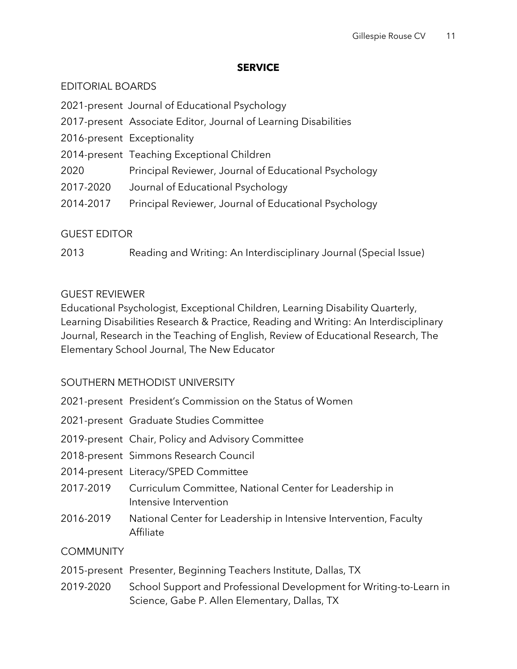### **SERVICE**

## EDITORIAL BOARDS

2021-present Journal of Educational Psychology

- 2017-present Associate Editor, Journal of Learning Disabilities
- 2016-present Exceptionality
- 2014-present Teaching Exceptional Children
- 2020 Principal Reviewer, Journal of Educational Psychology
- 2017-2020 Journal of Educational Psychology
- 2014-2017 Principal Reviewer, Journal of Educational Psychology

# GUEST EDITOR

2013 Reading and Writing: An Interdisciplinary Journal (Special Issue)

## GUEST REVIEWER

Educational Psychologist, Exceptional Children, Learning Disability Quarterly, Learning Disabilities Research & Practice, Reading and Writing: An Interdisciplinary Journal, Research in the Teaching of English, Review of Educational Research, The Elementary School Journal, The New Educator

# SOUTHERN METHODIST UNIVERSITY

- 2021-present President's Commission on the Status of Women
- 2021-present Graduate Studies Committee
- 2019-present Chair, Policy and Advisory Committee
- 2018-present Simmons Research Council
- 2014-present Literacy/SPED Committee
- 2017-2019 Curriculum Committee, National Center for Leadership in Intensive Intervention
- 2016-2019 National Center for Leadership in Intensive Intervention, Faculty Affiliate

# **COMMUNITY**

- 2015-present Presenter, Beginning Teachers Institute, Dallas, TX
- 2019-2020 School Support and Professional Development for Writing-to-Learn in Science, Gabe P. Allen Elementary, Dallas, TX